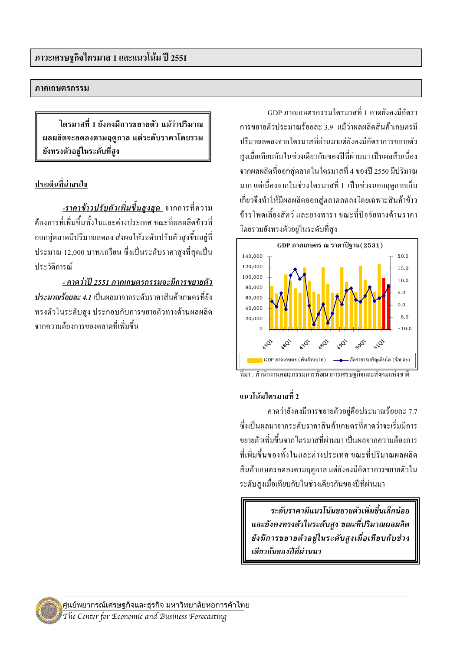#### ภาคเกษตรกรรม

ไตรมาสที่ 1 ยังคงมีการขยายตัว แม้ว่าปริมาณ ผลผลิตจะลดลงตามฤดูกาล แต่ระดับราคาโดยรวม ยังทรงตัวอย่ในระดับที่สง

## ประเด็นที่น่าสนใจ

-รา**คาข้าวปรับตัวเพิ่มขึ้นสูงสุด** จากการที่ความ ้ต้องการที่เพิ่มขึ้นทั้งในและต่างประเทศ ขณะที่ผลผลิตข้าวที่ ้ออกสู่ตลาคมีปริมาณลดลง ส่งผลให้ระดับปรับตัวสูงขึ้นอยู่ที่ ประมาณ 12,000 บาท/เกวียน ซึ่งเป็นระดับราคาสูงที่สุดเป็น ประวัติการณ์

<u>- คาดว่าปี 2551 ภาคเกษตรกรรมจะมีการขยายตัว</u> ประมาณร้อยละ 4.1 เป็นผลมาจากระดับราคาสินค้าเกษตรที่ยัง ทรงตัวในระดับสูง ประกอบกับการขยายตัวทางด้านผลผลิต ิจากความต้องการของตลาดที่เพิ่มขึ้น

GDP กาดเกนตรกรรมไตรมาสที่ 1 คาดยังคงมีอัตรา ิการขยายตัวประมาณร้อยละ 3.9 แม้ว่าผลผลิตสินค้าเกษตรมี าโริมาณลดลงจากไตรมาสที่ผ่าบมาแต่ยังคงมีคัตราการขยายตัว สูงเมื่อเทียบกับในช่วงเดียวกันของปีที่ผ่านมา เป็นผลสืบเนื่อง ิจากผลผลิตที่ออกสู่ตลาดในไตรมาสที่ 4 ของปี 2550 มีปริมาณ มาก แต่เนื่องจากในช่วงใตรมาสที่ 1 เป็นช่วงนอกฤดูกาลเก็บ ้เกี่ยวจึงทำให้มีผลผลิตออกส่ตลาดลดลงโดยเฉพาะสินค้าข้าว ข้าวโพดเลี้ยงสัตว์ และยางพารา ขณะที่ปัจจัยทางด้านราคา โดยรวมยังทรงตัวอยู่ในระดับที่สูง





## แนวโน้มไตรมาสที่ 2

ิดาคว่ายังคงมีการขยายตัวอย่คือประมาณร้อยละ 7.7 ซึ่งเป็นผลมาจากระดับราคาสินค้าเกษตรที่คาดว่าจะเริ่มมีการ ำเยาเต้าเพิ่มขึ้นจากไตรมาสที่ผ่านมา เป็นผลจากความต้องการ ที่เพิ่มขึ้นของทั้งในและต่างประเทศ ขณะที่ปริมาณผลผลิต ้สินค้าเกษตรลดลงตามฤดกาล แต่ยังคงมีอัตราการขยายตัวใน ระดับสูงเมื่อเทียบกับในช่วงเดียวกันของปีที่ผ่านมา

ระดับราคามีแนวโน้มขยายตัวเพิ่มขึ้นเล็กน้อย และยังคงทรงตัวในระดับสูง ขณะที่ปริมาณผลผลิต ยังมีการขยายตัวอยู่ในระดับสูงเมื่อเทียบกับช่วง เดียวกันของปีที่ผ่านมา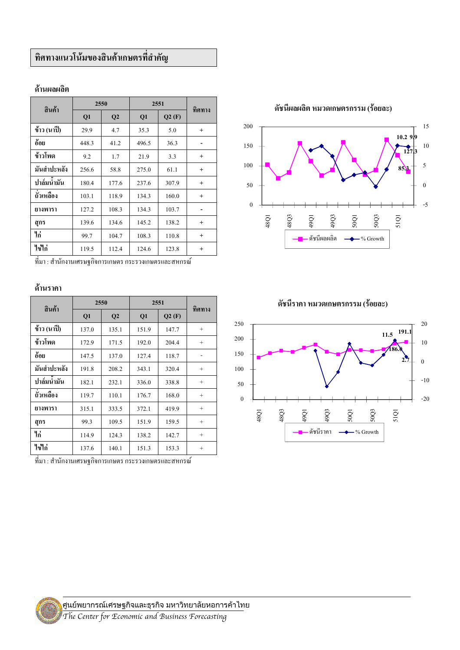# ทิศทางแนวโน้มของสินค้าเกษตรที่สำคัญ

| สินค้า      | 2550  |       | 2551  |       | ทิศทาง    |
|-------------|-------|-------|-------|-------|-----------|
|             | Q1    | Q2    | Q1    | Q2(F) |           |
| ข้าว (นาปี) | 29.9  | 4.7   | 35.3  | 5.0   | $\ddot{}$ |
| อ้อย        | 448.3 | 41.2  | 496.5 | 36.3  |           |
| ข้าวโพด     | 9.2   | 1.7   | 21.9  | 3.3   | $\ddot{}$ |
| มันสำปะหลัง | 256.6 | 58.8  | 275.0 | 61.1  | $\ddot{}$ |
| ปาล์มน้ำมัน | 180.4 | 177.6 | 237.6 | 307.9 | $\ddot{}$ |
| ถั่วเหลือง  | 103.1 | 118.9 | 134.3 | 160.0 | $\ddot{}$ |
| ยางพารา     | 127.2 | 108.3 | 134.3 | 103.7 |           |
| สุกร        | 139.6 | 134.6 | 145.2 | 138.2 | $\ddot{}$ |
| ไก่         | 99.7  | 104.7 | 108.3 | 110.8 | $\ddot{}$ |
| ไข่ไก่      | 119.5 | 112.4 | 124.6 | 123.8 | $\ddot{}$ |

#### ด้านผลผลิต

ที่มา : สำนักงานเศรษฐกิจการเกษตร กระรวงเกษตรและสหกรณ์

#### ด้านราคา

| สินค้า      | 2550  |                | 2551  |       | ทิศทาง          |
|-------------|-------|----------------|-------|-------|-----------------|
|             | Q1    | Q <sub>2</sub> | Q1    | Q2(F) |                 |
| ข้าว (นาปี) | 137.0 | 135.1          | 151.9 | 147.7 | $\! + \!\!\!\!$ |
| ข้าวโพด     | 172.9 | 171.5          | 192.0 | 204.4 | $+$             |
| อ้อย        | 147.5 | 137.0          | 127.4 | 118.7 |                 |
| มันสำปะหลัง | 191.8 | 208.2          | 343.1 | 320.4 | $^{+}$          |
| ปาล์มน้ำมัน | 182.1 | 232.1          | 336.0 | 338.8 | $\! + \!\!\!\!$ |
| ถั่วเหลือง  | 119.7 | 110.1          | 176.7 | 168.0 | $+$             |
| ยางพารา     | 315.1 | 333.5          | 372.1 | 419.9 | $\! + \!\!\!\!$ |
| สุกร        | 99.3  | 109.5          | 151.9 | 159.5 | $^{+}$          |
| ไก่         | 114.9 | 124.3          | 138.2 | 142.7 | $^{+}$          |
| ไข่ไก่      | 137.6 | 140.1          | 151.3 | 153.3 | $\! + \!\!\!\!$ |

ีที่มา : สำนักงานเศรษฐกิจการเกษตร กระรวงเกษตรและสหกรณ์

ดัชนีผลผลิต หมวดเกษตรกรรม (ร้อยละ)





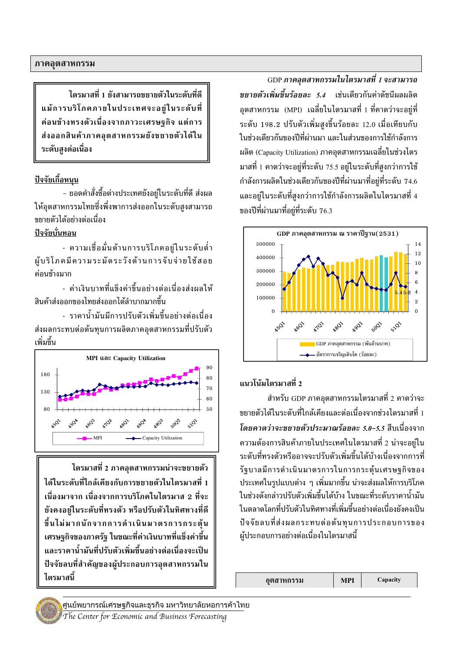ไตรมาสที่ 1 ยังสามารถขยายตัวในระดับที่ดี แม้การบริโภคภายในประเทศจะอยู่ในระดับที่ ้ค่อนข้างทรงตัวเนื่องจากภาวะเศรษฐกิจ แต่การ ส่งออกสินค้าภาคอุตสาหกรรมยังขยายตัวได้ใน ระดับสูงต่อเนื่อง

## <u>ปัจจัยเกื้อหนุน</u>

- ยอดคำสั่งซื้อต่างประเทศยังอยู่ในระดับที่ดี ส่งผล ให้อุตสาหกรรมไทยซึ่งพึ่งพาการส่งออกในระดับสูงสามารถ <u> ขยายตัวได้อย่างต่อเนื่อง</u>

#### ปัจจัยบั่นทอน

- ความเชื่อมั่นด้านการบริโภคอยู่ในระดับต่ำ ผู้บริโภคมีความระมัดระวังด้านการจับจ่ายใช้สอย ค่อบข้างมาก

- ค่าเงินบาทที่แข็งค่าขึ้นอย่างต่อเนื่องส่งผลให้ สินค้าส่งออกของไทยส่งออกได้ลำบากมากขึ้น

- ราคาน้ำมันมีการปรับตัวเพิ่มขึ้นอย่างต่อเนื่อง ส่งผลกระทบต่อต้นทุนการผลิตภาคอุตสาหกรรมที่ปรับตัว เพิ่มขึ้น



ไตรมาสที่ 2 ภาคอุตสาหกรรมน่าจะขยายตัว ได้ในระดับที่ใกล้เคียงกับการขยายตัวในไตรมาสที่ 1 เนื่องมาจาก เนื่องจากการบริโภคในไตรมาส 2 ที่จะ ยังคงอยู่ในระดับที่ทรงตัว หรือปรับตัวในทิศทางที่ดี ขึ้นไม่มากนักจากการดำเนินมาตรการกระตุ้น เศรษฐกิจของภาครัฐ ในขณะที่ค่าเงินบาทที่แข็งค่าขึ้น และราคาน้ำมันที่ปรับตัวเพิ่มขึ้นอย่างต่อเนื่องจะเป็น ปัจจัยลบที่สำคัญของผ้ประกอบการอตสาหกรรมใน ไตรมาสนี้

GDP ภาคอุตสาหกรรมในไตรมาสที่ 1 จะสามารถ *ขยายตัวเพิ่มขึ้นร้อยละ 5.4* เช่นเดียวกันค่าดัชนีผลผลิต อุตสาหกรรม (MPI) เฉลี่ยในไตรมาสที่ 1 ที่คาดว่าจะอยู่ที่ ระดับ 198.2 ปรับตัวเพิ่มสูงขึ้นร้อยละ 12.0 เมื่อเทียบกับ ในช่วงเดียวกันของปีที่ผ่านมา และในส่วนของการใช้กำลังการ ผลิต (Capacity Utilization) ภาคอุตสาหกรรมเฉลี่ยในช่วงไตร มาสที่ 1 คาดว่าจะอยู่ที่ระดับ 75.5 อยู่ในระดับที่สูงกว่าการใช้ กำลังการผลิตในช่วงเดียวกันของปีที่ผ่านมาที่อยู่ที่ระดับ 74.6 และอย่ในระดับที่สงกว่าการใช้กำลังการผลิตในไตรมาสที่ 4 ของปีที่ผ่านมาที่อย่ที่ระดับ 76.3



## ีแนวโน้มไตรมาสที่ 2

สำหรับ GDP ภาคอุตสาหกรรมไตรมาสที่ 2 คาดว่าจะ ขยายตัวได้ในระดับที่ใกล้เคียงและต่อเนื่องจากช่วงไตรมาสที่ 1 โดยคาดว่าจะขยายตัวประมาณร้อยละ 5.0-5.5 สืบเนื่องจาก ี ความต้องการสินค้าภายในประเทศในไตรมาสที่ 2 น่าจะอย่ใน ระดับที่ทรงตัวหรืออาจจะปรับตัวเพิ่มขึ้นได้บ้างเนื่องจากการที่ รัฐบาลมีการดำเนินมาตรการในการกระตุ้นเศรษฐกิจของ ี ประเทศในรูปแบบต่าง ๆ เพิ่มมากขึ้น น่าจะส่งผลให้การบริโภค ในช่วงดังกล่าวปรับตัวเพิ่มขึ้นได้บ้าง ในขณะที่ระดับราคาน้ำมัน ในตลาดโลกที่ปรับตัวในทิศทางที่เพิ่มขึ้นอย่างต่อเนื่องยังคงเป็น ปัจจัยลบที่ส่งผลกระทบต่อต้นทนการประกอบการของ ผู้ประกอบการอย่างต่อเนื่องในไตรมาสนี้

| ้อตสาหกรรม | MPI |  |
|------------|-----|--|
|------------|-----|--|

Capacity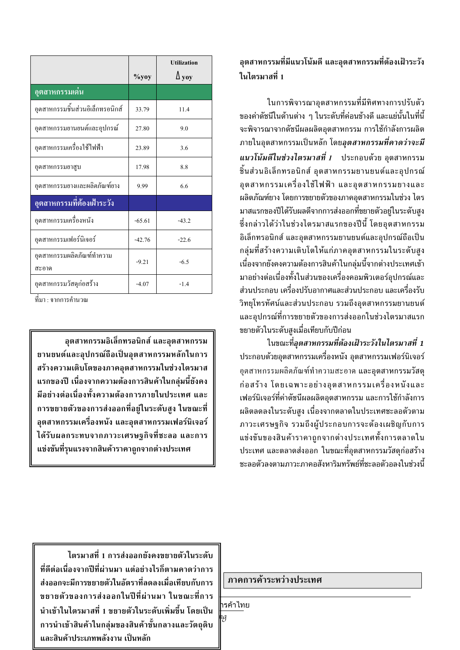|                                    |          | <b>Utilization</b> |
|------------------------------------|----------|--------------------|
|                                    | $\%$ yoy | $\Delta$ yoy       |
| <u>อุตส</u> าหกรรมเด่น             |          |                    |
| อุตสาหกรรมชิ้นส่วนอิเล็กทรอนิกส์   | 33.79    | 11.4               |
| อุตสาหกรรมยานยนต์และอุปกรณ์        | 27.80    | 9.0                |
| อุตสาหกรรมเครื่องใช้ไฟฟ้า          | 23.89    | 3.6                |
| อุตสาหกรรมยาสูบ                    | 17.98    | 8.8                |
| อุตสาหกรรมยางและผลิตภัณฑ์ยาง       | 9.99     | 6.6                |
| อุตสาหกรรมที่ต้องเฝ้าระวัง         |          |                    |
| อุตสาหกรรมเครื่องหนัง              | $-65.61$ | $-43.2$            |
| อุตสาหกรรมเฟอร์นิเจอร์             | $-42.76$ | $-22.6$            |
| อุตสาหกรรมผลิตภัณฑ์ทำความ<br>สะอาค | $-9.21$  | $-6.5$             |
| อุตสาหกรรมวัสดุก่อสร้าง            | $-4.07$  | $-1.4$             |

ที่มา : จากการคำนวณ

้อุตสาหกรรมอิเล็กทรอนิกส์ และอุตสาหกรรม ยานยนต์และอุปกรณ์ถือเป็นอุตสาหกรรมหลักในการ สร้างความเติบโตของภาคอุตสาหกรรมในช่วงไตรมาส แรกของปี เนื่องจากความต้องการสินค้าในกลุ่มนี้ยังคง ้มีอย่างต่อเนื่องทั้งความต้องการภายในประเทศ และ ึการขยายตัวของการส่งออกที่อยู่ในระดับสูง ในขณะที่ ้อุตสาหกรรมเครื่องหนัง และอุตสาหกรรมเฟอร์นิเจอร์ ได้รับผลกระทบจากภาวะเศรษจกิจที่ชะลอ และการ แข่งขันที่รุนแรงจากสินค้าราคาถูกจากต่างประเทศ

# ้อุตสาหกรรมที่มีแนวโน้มดี และอุตสาหกรรมที่ต้องเฝ้าระวัง ใบไตรมาสที่ 1

ในการพิจารณาอตสาหกรรมที่มีทิศทางการปรับตัว ้ของค่าดัชนีในด้านต่าง ๆ ในระดับที่ค่อนข้างดี และแย่นั้นในที่นี้ จะพิจารณาจากดัชนีผลผลิตอุตสาหกรรม การใช้กำลังการผลิต ี ภายในอุตสาหกรรมเป็นหลัก โดย*อุตสาหกรรมที่คาดว่าจะมี* ี *แนวโน้มดีในช่วงไตรมาสที่ 1* ประกอบด้วย อุตสาหกรรม ชิ้นส่วนอิเล็กทรอนิกส์ อุตสาหกรรมยานยนต์และอุปกรณ์ ้อุตสาหกรรมเครื่องใช้ไฟฟ้า และอุตสาหกรรมยางและ ผลิตภัณฑ์ยาง โดยการขยายตัวของภาคอุตสาหกรรมในช่วง ไตร ้ มาสแรกของปีได้รับผลดีจากการส่งออกที่ขยายตัวอยู่ในระดับสูง ซึ่งกล่าวได้ว่าในช่วงไตรมาสแรกของปีนี้ โดยอุตสาหกรรม อิเล็กทรอนิกส์ และอุตสาหกรรมยานยนต์และอุปกรณ์ถือเป็น กลุ่มที่สร้างความเติบโตให้แก่ภาคอุตสาหกรรมในระดับสูง ้เนื่องจากยังคงความต้องการสินค้าในกลุ่มนี้จากต่างประเทศเข้า ้มาอย่างต่อเนื่องทั้งในส่วนของเครื่องคอมพิวเตอร์อุปกรณ์และ ้ส่วนประกอบ เครื่องปรับอากาศและส่วนประกอบ และเครื่องรับ วิทยโทรทัศน์และส่วนประกอบ รวมถึงอตสาหกรรมยานยนต์ และอุปกรณ์ที่การขยายตัวของการส่งออกในช่วงไตรมาสแรก ขยายตัวในระดับสูงเมื่อเทียบกับปีก่อน

ในขณะที่อุตสาหกรรมที่ต้องเฝ้าระวังในไตรมาสที่ 1 ี ประกอบด้วยอุตสาหกรรมเครื่องหนัง อุตสาหกรรมเฟอร์นิเจอร์ อุตสาหกรรมผลิตภัณฑ์ทำความสะอาด และอุตสาหกรรมวัสดุ ้ก่อสร้าง โดยเฉพาะอย่างอตสาหกรรมเครื่องหนังและ ้เฟอร์นิเจอร์ที่ค่าดัชนีผลผลิตอุตสาหกรรม และการใช้กำลังการ ผลิตลดลงในระดับสูง เนื่องจากตลาดในประเทศชะลอตัวตาม ภาวะเศรษฐกิจ รวมถึงผู้ประกอบการจะต้องเผชิญกับการ แข่งขันของสินค้าราคาถูกจากต่างประเทศทั้งการตลาดใน ประเทศ และตลาดส่งออก ในขณะที่อุตสาหกรรมวัสดุก่อสร้าง ชะลอตัวลงตามภาวะภาคอสังหาริมทรัพย์ที่ชะลอตัวอลงในช่วงนี้

ไตรมาสที่ 1 การส่งออกยังคงขยายตัวในระดับ ที่ดีต่อเนื่องจากปีที่ผ่านมา แต่อย่างไรก็ตามคาดว่าการ ส่งออกจะมีการขยายตัวในอัตราที่ลดลงเมื่อเทียบกับการ ขยายตัวของการส่งออกในปีที่ผ่านมา ในขณะที่การ นำเข้าในไตรมาสที่ 1 ขยายตัวในระดับเพิ่มขึ้น โดยเป็น ี การนำเข้าสินค้าในกลุ่มของสินค้าขั้นกลางและวัตถุดิบ และสินค้าประเภทพลังงาน เป็นหลัก

#### ภาคการค้าระหว่างประเทศ

ารค้าไทย

ıg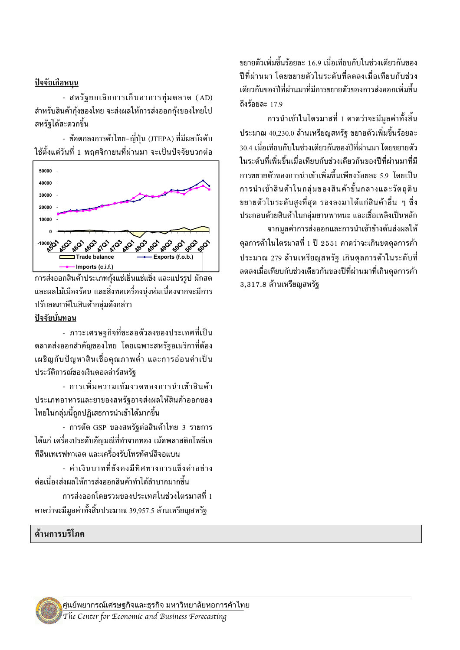#### <u>ปัจจัยเกือหนุน</u>

- สหรัฐยกเลิกการเก็บอาการทุ่มตลาด (AD) สำหรับสินค้ากุ้งของไทย จะส่งผลให้การส่งออกกุ้งของไทยไป สหรัฐได้สะดวกขึ้น

- ข้อตกลงการค้าไทย-ญี่ปุ่น (JTEPA) ที่มีผลบังคับ ใช้ตั้งแต่วันที่ 1 พถศจิกายนที่ผ่านมา จะเป็นปัจจัยบวกต่อ



การส่งออกสินค้าประเภทกุ้งแช่เย็นแช่แข็ง และแปรรูป ผักสด ้ และผลไม้เมืองร้อน และสิ่งทอเครื่องน่งห่มเนื่องจากจะมีการ ปรับลดภาษีในสินค้ากล่มดังกล่าว <u>ปัจจัยบั่นทอน</u>

- ภาวะเศรษฐกิจที่ชะลอตัวลงของประเทศที่เป็น ีตลาดส่งออกสำคัญของไทย โดยเฉพาะสหรัฐอเมริกาที่ต้อง ้ เผชิญกับปัญหาสินเชื่อคุณภาพต่ำ และการอ่อนค่าเป็น ประวัติการณ์ของเงินดอลล่าร์สหรัฐ

- การเพิ่มความเข้มงวดของการนำเข้าสินค้า ประเภทอาหารและยาของสหรัฐอาจส่งผลให้สินค้าออกของ ไทยในกลุ่มนี้ถูกปฏิเสธการนำเข้าได้มากขึ้น

- การตัด GSP ของสหรัฐต่อสินค้าไทย 3 รายการ ได้แก่ เครื่องประดับอัญมณีที่ทำจากทอง เม้ดพลาสติกโพลีเอ ทีลีนเทเรฟทาเลต และเครื่องรับโทรทัศน์สีจอแบน

- ค่าเงินบาทที่ยังคงมีทิศทางการแข็งค่าอย่าง ต่อเนื่องส่งผลให้การส่งออกสินค้าทำได้ลำบากมากขึ้น

การส่งออกโดยรวมของประเทศในช่วงไตรมาสที่ 1 ี คาดว่าจะมีมูลค่าทั้งสิ้นประมาณ 39,957.5 ล้านเหรียญสหรัฐ

## ด้านการบริโภค

ขยายตัวเพิ่มขึ้นร้อยละ 16.9 เมื่อเทียบกับในช่วงเดียวกันของ ปีที่ผ่านมา โดยขยายตัวในระดับที่ลดลงเมื่อเทียบกับช่วง 'เดียวกันของปีที่ผ่านมาที่มีการขยายตัวของการส่งออกเพิ่มขึ้น ถึงร้อยละ $17.9$ 

ี การนำเข้าในไตรมาสที่ 1 คาดว่าจะมีมูลค่าทั้งสิ้น ประมาณ 40,230.0 ล้านเหรียญสหรัฐ ขยายตัวเพิ่มขึ้นร้อยละ 30.4 เมื่อเทียบกับในช่วงเดียวกันของปีที่ผ่านมา โดยขยายตัว ใบระดับที่เพิ่มขึ้นเมื่อเทียบกับช่วงเดียวกับของปีที่ผ่านมาที่มี ้การขยายตัวของการนำเข้าเพิ่มขึ้นเพียงร้อยละ 5.9 โดยเป็น การนำเข้าสินค้าในกล่มของสินค้าขั้นกลางและวัตถดิบ ขยายตัวในระดับสงที่สด รองลงมาได้แก่สินค้าอื่น ๆ ซึ่ง ี ประกอบด้วยสินค้าในกลุ่มยานพาหนะ และเชื้อเพลิงเป็นหลัก จากมูลค่าการส่งออกและการนำเข้าข้างต้นส่งผลให้

่ ดุลการค้าในไตรมาสที่ 1 ปี 2551 คาดว่าจะเกินขดดุลการค้า ประมาณ 279 ล้านเหรียญสหรัฐ เกินดุลการค้าในระดับที่ ิลดลงเมื่อเทียบกับช่วงเดียวกันของปีที่ผ่านมาที่เกินดลการค้า  $3,317.8$  ล้านเหรียญสหรัฐ

ศูนยพยากรณเศรษฐกิจและธุรกิจ มหาวิทยาลัยหอการคาไทย The Center for Economic and Business Forecasting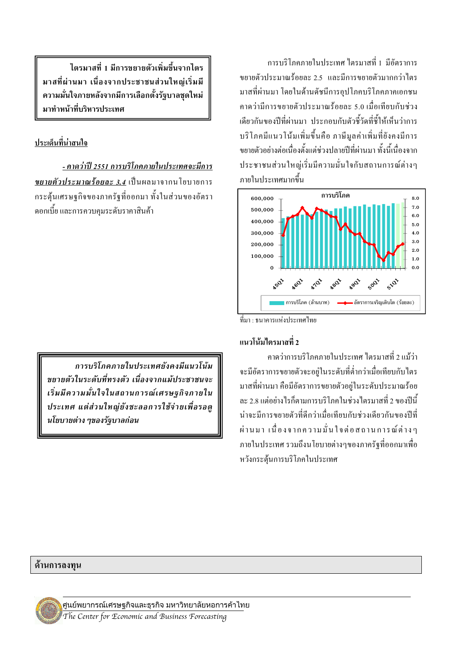้การบริโกคกายใบประเทศ ไตรบาสที่ 1 บีดัตราการ ึ่งยายตัวประมาณร้อยละ 2.5 และมีการขยายตัวมากกว่าไตร มาสที่ผ่านมา โดยในด้านดัชนีการอปโภคบริโภคภาคเอกชน คาคว่ามีการขยายตัวประมาณร้อยละ 5.0 เมื่อเทียบกับช่วง เดียวกันของปีที่ผ่านมา ประกอบกับตัวชี้วัดที่ชี้ให้เห็นว่าการ บริโภคมีแนวโน้มเพิ่มขึ้นคือ ภาษีมูลค่าเพิ่มที่ยังคงมีการ ึ่งยายตัวอย่างต่อเนื่องตั้งแต่ช่วงปลายปีที่ผ่านมา ทั้งนี้เนื่องจาก ประชาชนส่วนใหญ่เริ่มมีความมั่นใจกับสถานการณ์ต่างๆ ึกายใบประเทศมากขึ้น



ที่มา : ธนาคารแห่งประเทศไทย

## แนวโน้มไตรมาสที่ 2

ี คาดว่าการบริโภคภายในประเทศ ใตรมาสที่ 2 แม้ว่า จะมีอัตราการขยายตัวจะอย่ในระดับที่ต่ำกว่าเมื่อเทียบกับไตร มาสที่ผ่านมา คือมีอัตราการขยายตัวอย่ในระดับประมาณร้อย ิละ 2.8 แต่อย่างไรก็ตามการบริโภคในช่วงไตรมาสที่ 2 ของปีนี้ บ่าจะมีการขยายตัวที่ดีกว่าเมื่อเทียบกับช่วงเดียวกับของปีที่ ้ผ่านมา เนื่องจากความมั่นใจต่อสถานการณ์ต่างๆ ภายในประเทศ รวมถึงนโยบายต่างๆของภาครัฐที่ออกมาเพื่อ หวังกระต้นการบริโภคในประเทศ

ไตรมาสที่ 1 มีการขยายตัวเพิ่มขึ้นจากไตร มาสที่ผ่านมา เนื่องจากประชาชนส่วนใหญ่เริ่มมี ความมั่นใจภายหลังจากมีการเลือกตั้งรัฐบาลชุดใหม่ มาทำหน้าที่บริหารประเทศ

# ประเด็นที่น่าสนใจ

- คาดว่าปี 2551 การบริโภคภายในประเทศจะมีการ ขยายตัวประมาณร้อยละ 3.4 เป็นผลมาจากนโยบายการ ึกระตุ้นเศรษฐกิจของภาครัฐที่ออกมา ทั้งในส่วนของอัตรา ้ คอกเบี้ย และการควบคุมระดับราคาสินค้า

การบริโภคภายในประเทศยังคงมีแนวโน้ม ขยายตัวในระดับที่ทรงตัว เนื่องจากแม้ประชาชนจะ เริ่มมีความมั่นใจในสถานการณ์เศรษรกิจภายใน ประเทศ แต่ส่วนใหญ่ยังชะลอการใช้จ่ายเพื่อรอดู นโยบายต่าง ๆของรัฐบาลก่อน

#### ด้านการลงทุน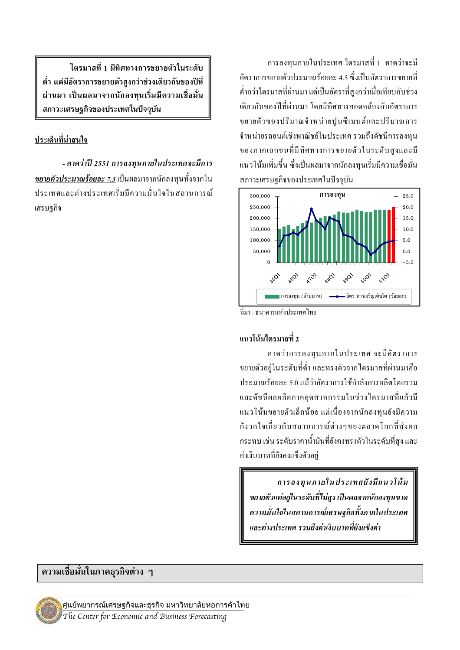ี การลงทนภายในประเทศ ไตรมาสที่ 1 คาคว่าจะมี ้อัตราการขยายตัวประมาณร้อยละ 4.5 ซึ่งเป็นอัตราการขยายที่ ้ต่ำกว่าไตรมาสที่ผ่านมา แต่เป็นอัตราที่สูงกว่าเมื่อเทียบกับช่วง ้เดียวกันของปีที่ผ่านมา โดยมีทิศทางสอดคล้องกับอัตราการ ขยายตัวของปริมาณจำหน่ายปูนซีเมนต์และปริมาณการ จำหน่ายรถยนต์เชิงพาณิชย์ในประเทศ รวมถึงคัชนีการลงทุน ของภาคเอกชนที่มีทิศทางการขยายตัวในระดับสูงและมี แนวโน้มเพิ่มขึ้น ซึ่งเป็นผลมาจากนักลงทนเริ่มมีความเชื่อมั่น สภาวะเศรษฐกิจของประเทศในปัจจุบัน



ที่มา : ธนาคารแห่งประเทศไทย

#### แนวโน้มไตรมาสที่ 2

คาคว่าการลงทุนภายในประเทศ จะมีอัตราการ ึ่งยายตัวอย่ในระดับที่ต่ำ และทรงตัวจากใตรมาสที่ผ่านมาคือ ประมาณร้อยละ 5.0 แม้ว่าอัตราการใช้กำลังการผลิตโดยรวม และดัชนีผลผลิตภาคอุตสาหกรรมในช่วงใตรมาสที่แล้วมี แนวโน้มขยายตัวเล็กน้อย แต่เนื่องจากนักลงทุนยังมีความ ้กังวลใจเกี่ยวกับสถานการณ์ต่างๆของตลาดโลกที่ส่งผล ึกระทบ เช่น ระดับราคาน้ำมันที่ยังคงทรงตัวในระดับที่สูง และ ค่าเงินบาทที่ยังคงแข็งตัวอย่

การลงทุนภายในประเทศยังมีแนวโน้ม ขยายตัวแต่อยู่ในระดับที่ไม่สูง เป็นผลจากนักลงทุนขาด ความมั่นใจในสถานการณ์เศรษฐกิจทั้งภายในประเทศ และต่างประเทศ รวมถึงค่าเงินบาทที่ยังแข็งค่า

ไตรมาสที่ 1 มีทิศทางการขยายตัวในระดับ ้ต่ำ แต่มีอัตราการขยายตัวสงกว่าช่วงเดียวกันของปีที่ ผ่านมา เป็นผลมาจากนักลงทุนเริ่มมีความเชื่อมั่น สภาวะเศรษฐกิจของประเทศในปัจจุบัน

#### ประเด็นที่น่าสนใจ

<u>- คาดว่าปี 2551 การลงทุนภายในประเทศจะมีการ</u> <u>ขยายตัวประมาณร้อยละ 7.3</u> เป็นผลมาจากนักลงทุนทั้งจากใน <u> ประเทศและต่างประเทศเริ่มมีความมั่นใจในสถานการณ์</u> เศรนสกิจ

#### ้ความเชื่อมั่นในภาคธุรกิจต่าง ๆ

ศูนย์พยากรณ์เศรษฐกิจและธุรกิจ มหาวิทยาลัยหอการค้าไทย The Center for Economic and Business Forecasting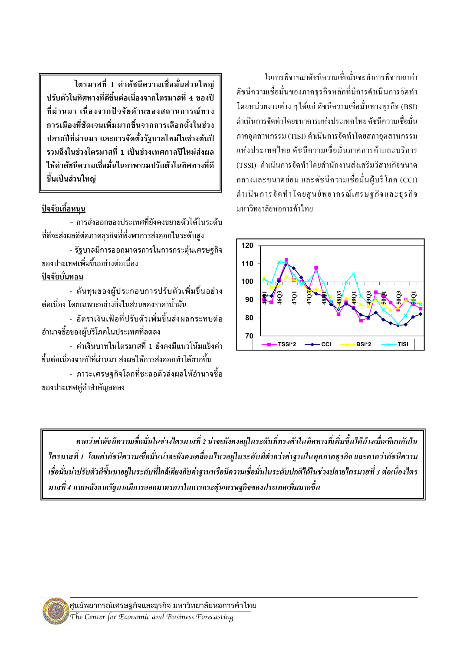ไตรมาสที่ 1 ค่าดัชนีความเชื่อมั่นส่วนใหญ่ ปรับตัวในทิศทางที่ดีขึ้นต่อเนื่องจากไตรมาสที่ 4 ของปี ที่ผ่านมา เนื่องจากปัจจัยด้านของสถานการณ์ทาง ี<br>การเมืองที่ชัดเจนเพิ่มมากขึ้นจากการเลือกตั้งในช่วง ปลายปีที่ผ่านมา และการจัดตั้งรัฐบาลใหม่ในช่วงต้นปี รวมถึงในช่วงไตรมาสที่ 1 เป็นช่วงเทศกาลปีใหม่ส่งผล ให้ค่าดัชนีความเชื่อมั่นในภาพรวมปรับตัวในทิศทางที่ดี ขึ้นเป็นส่วนใหญ่

## <u>ปัจจัยเกื้อหนุน</u>

์<br>- การส่งออกของประเทศที่ยังคงขยายตัวได้ในระดับ ที่ดีจะส่งผลดีต่อภาคธรกิจที่พึ่งพาการส่งออกในระดับสง

- รัฐบาลมีการออกมาตรการในการกระตุ้นเศรษฐกิจ ของประเทศเพิ่มขึ้นอย่างต่อเนื่อง

ปัจจัยบั่นทอน

- ต้นทุนของผู้ประกอบการปรับตัวเพิ่มขึ้นอย่าง ต่อเนื่อง โดยเฉพาะอย่างยิ่งในส่วนของราคาน้ำมัน

- อัตราเงินเฟ้อที่ปรับตัวเพิ่มขึ้นส่งผลกระทบต่อ ้อำนาจซื้อของผู้บริโภคในประเทศที่ลดลง

- ค่าเงินบาทในไตรมาสที่ 1 ยังคงมีแนวโน้มแข็งค่า ์ขึ้นต่อเนื่องจากปีที่ผ่านมา ส่งผลให้การส่งออกทำได้ยากขึ้น

- ภาวะเศรษรกิจโลกที่ชะลอตัวส่งผลให้อำนาจซื้อ ของประเทศคู่ค้าสำคัญลดลง

ใบการพิจารณาดัชบีความเชื่อมั่บจะทำการพิจารณาค่า ดัชนีความเชื่อมั่นของภาคธุรกิจหลักที่มีการดำเนินการจัดทำ โดยหน่วยงานต่าง ๆใด้แก่ ดัชนีความเชื่อมั่นทางธุรกิจ (BSI) ้ดำเนินการจัดทำโดยธนาคารแห่งประเทศไทย ดัชนีความเชื่อมั่น ภาคอุตสาหกรรม (TISI) ดำเนินการจัดทำโดยสภาอุตสาหกรรม แห่งประเทศไทย คัชนีความเชื่อมั่นภาคการค้าและบริการ (TSSI) คำเนินการจัดทำโดยสำนักงานส่งเสริมวิสาหกิจขนาด กลางและขนาดย่อม และดัชนีความเชื่อมั่นผู้บริโภค (CCI) คำเนินการจัดทำโดยศูนย์พยากรณ์เศรษฐกิจและธุรกิจ บหาวิทยาลัยหอการค้าไทย



คาดว่าค่าดัชนีความเชื่อมั่นในช่วงไตรมาสที่ 2 น่าจะยังคงอยู่ในระดับที่ทรงตัวในทิศทางที่เพิ่มขึ้นได้บ้างเมื่อเทียบกับใน ใตรมาสที่ 1 โดยค่าดัชนีความเชื่อมั่นน่าจะยังคงเคลื่อนใหวอยู่ในระดับที่ต่ำกว่าค่าฐานในทุกภาคธุรกิจ และคาดว่าดัชนีความ เชื่อมั่นน่าปรับตัวดีขึ้นมาอยู่ในระดับที่ใกล้เคียงกับค่าฐานหรือมีความเชื่อมั่นในระดับปกติได้ในช่วงปลายไตรมาสที่ 3 ต่อเนื่องไตร มาสที่ 4 ภายหลังจากรัฐบาลมีการออกมาตรการในการกระต้นเศรษฐกิจของประเทศเพิ่มมากขึ้น

ศูนย์พยากรณ์เศรษฐกิจและธุรกิจ มหาวิทยาลัยหอการค้าไทย The Center for Economic and Business Forecasting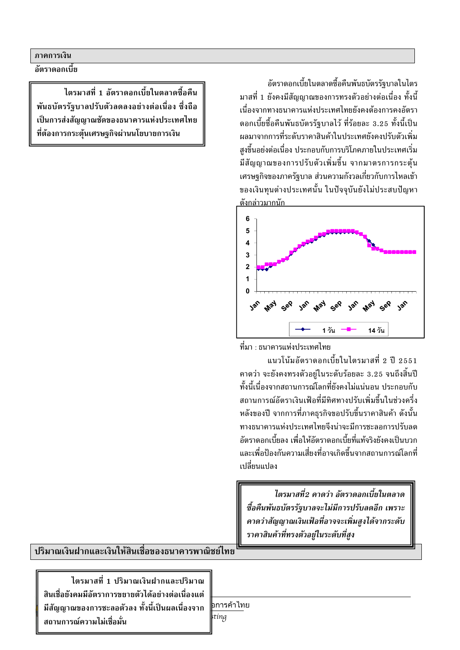#### ภาคการเงิน

อัตราดอกเบี้ย

ไตรมาสที่ 1 อัตราดอกเบี้ยใบตลาดซื้อคืบ พันธบัตรรัฐบาลปรับตัวลดลงอย่างต่อเนื่อง ซึ่งถือ เป็นการส่งสัญญาณชัดของธนาคารแห่งประเทศไทย ที่ต้องการกระต้นเศรษฐกิจผ่านนโยบายการเงิน

อัตราดอกเบี้ยในตลาดซื้อคืนพันธบัตรรัฐบาลในไตร ้มาสที่ 1 ยังคงมีสัญญาณของการทรงตัวอย่างต่อเนื่อง ทั้งนี้ เนื่องจากทางธนาคารแห่งประเทศไทยยังคงต้องการคงอัตรา ดอกเบี้ยซื้อคืนพันธบัตรรัฐบาลไว้ ที่ร้อยละ 3.25 ทั้งนี้เป็น ้ผลมาจากการที่ระดับราคาสินค้าในประเทศยังคงปรับตัวเพิ่ม สงขึ้นอย่งต่อเนื่อง ประกอบกับการบริโภคภายในประเทศเริ่ม ้มีสัญญาณของการปรับตัวเพิ่มขึ้น จากมาตรการกระตุ้น ้เศรษฐกิจของภาครัฐบาล ส่วนความกังวลเกี่ยวกับการไหลเข้า ของเงินทุนต่างประเทศนั้น ในปัจจุบันยังไม่ประสบปัญหา ดังกล่าวมากนัก





แนวโน้มอัตราดอกเบี้ยในไตรมาสที่ 2 ปี 2551 ์ คาดว่า จะยังคงทรงตัวอย่ในระดับร้อยละ 3.25 จนถึงสิ้นปี ้ทั้งนี้เนื่องจากสถานการณ์โลกที่ยังคงไม่แน่นอน ประกอบกับ สถานการณ์อัตราเงินเฟ้อที่มีทิศทางปรับเพิ่มขึ้นในช่วงครึ่ง หลังของปี จากการที่ภาคธุรกิจขอปรับขึ้นราคาสินค้า ดังนั้น ทางธนาคารแห่งประเทศไทยจึงน่าจะมีการชะลอการปรับลด อัตราดอกเบี้ยลง เพื่อให้อัตราดอกเบี้ยที่แท้จริงยังคงเป็นบวก และเพื่อป้องกันความเสี่ยงที่อาจเกิดขึ้นจากสถานการณ์โลกที่ เปลี่ยนแปลง

ไตรมาสที่2 คาดว่า อัตราดอกเบี้ยในตลาด ชื้อคืนพันธบัตรรัฐบาลจะไม่มีการปรับลดอีก เพราะ คาดว่าสัญญาณเงินเฟ้อที่อาจจะเพิ่มสูงได้จากระดับ ราคาสินค้าที่ทรงตัวอยู่ในระดับที่สูง

ปริมาณเงินฝากและเงินให้สินเชื่อของธนาคารพาณิชย์ไทย

ไตรมาสที่ 1 ปริมาณเงินฝากและปริมาณ สินเชื่อยังคมมีอัตราการขยายตัวได้อย่างต่อเนื่องแต่ ้มีสัญญาณของการชะลอตัวลง ทั้งนี้เป็นผลเนื่องจาก สถานการณ์ความไม่เชื่อมั่น

∣อการค้าไทย

stíng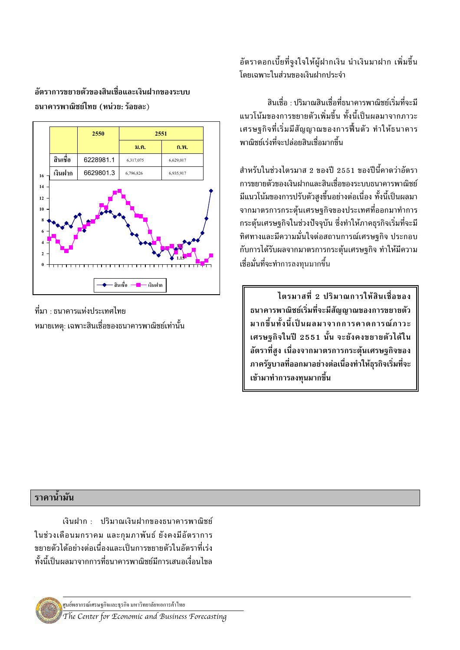# ลัตราการขยายตัวของสิบเชื่อและเงินฝากของระบบ ธนาคารพาณิชย์ไทย (หน่วย: ร้อยละ)



์ที่มา · ธนาคารแห่งประเทศไทย หมายเหตุ: เฉพาะสินเชื่อของธนาคารพาณิชย์เท่านั้น

# ้อัตราดอกเบี้ยที่จูงใจให้ผู้ฝากเงิน นำเงินมาฝาก เพิ่มขึ้น โดยเฉพาะในส่วนของเงินฝากประจำ

สินเชื่อ · ปริมาณสินเชื่อที่ธนาคารพาณิชย์เริ่มที่จะมี ้แบวโบ้มของการขยายตัวเพิ่มขึ้บ ทั้งบี้เป็บผลมาจากภาวะ ้ เศรษฐกิจที่เริ่มมีสัญญาณของการฟื้นตัว ทำให้ธนาคาร พาณิชย์เร่งที่จะปล่อยสินเชื่อมากขึ้น

สำหรับในช่วงไตรมาส 2 ของปี 2551 ของปีนี้คาดว่าอัตรา การขยายตัวของเงินฝากและสินเชื่อของระบบธนาคารพาณิชย์ ้มีแนวโน้มของการปรับตัวสูงขึ้นอย่างต่อเนื่อง ทั้งนี้เป็นผลมา จากมาตรการกระตุ้นเศรษฐกิจของประเทศที่ออกมาทำการ ้กระตุ้นเศรษฐกิจในช่วงปัจจุบัน ซึ่งทำให้ภาคธุรกิจเริ่มที่จะมี ทิศทางและมีความมั่นใจต่อสถานการณ์เศรษฐกิจ ประกอบ กับการได้รับผลจากมาตรการกระตุ้นเศรษฐกิจ ทำให้มีความ เชื่อมั่นที่จะทำการลงทนมากขึ้น

ไตรมาสที่ 2 ปริมาณการให้สินเชื่อของ ธนาคารพาณิชย์เริ่มที่จะมีสัญญาณของการขยายตัว มากขึ้นทั้งนี้เป็นผลมาจากการคาดการณ์ภาวะ เศรษฐกิจในปี 2551 นั้น จะยังคงขยายตัวได้ใน ้อัตราที่สูง เนื่องจากมาตรการกระตุ้นเศรษฐกิจของ ภาครัฐบาลที่ออกมาอย่างต่อเนื่องทำให้ธุรกิจเริ่มที่จะ เข้ามาทำการลงทนมากขึ้น

## ราคาน้ำมัน

เงินฝาก : ปริมาณเงินฝากของธนาคารพาณิชย์ ในช่วงเดือนมกราคม และกุมภาพันธ์ ยังคงมีอัตราการ ขยายตัวได้อย่างต่อเนื่องและเป็นการขยายตัวในอัตราที่เร่ง ทั้งนี้เป็นผลมาจากการที่ธนาคารพาณิชย์มีการเสนอเงื่อนไขล

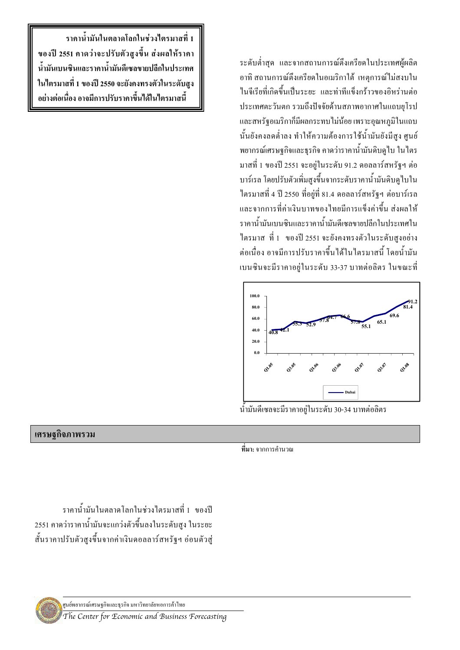ระดับต่ำสุด และจากสถานการณ์ตึงเครียดในประเทศผู้ผลิต อาทิ สถานการณ์ตึงเครียดในอเมริกาใต้ เหตการณ์ไม่สงบใน ไนจีเรียที่เกิดขึ้นเป็นระยะ และท่าทีแข็งกร้าวของอิหร่านต่อ ประเทศตะวันตก รวมถึงปัจจัยด้านสภาพอากาศในแถบยุโรป และสหรัฐอเมริกากี้มีผลกระทบ ไม่น้อย เพราะอุณหภูมิในแถบ นั้นยังคงลดต่ำลง ทำให้ความด้องการใช้น้ำมันยังมีสูง ศูนย์ พยากรณ์เศรษฐกิจและธุรกิจ คาคว่าราคาน้ำมันดิบดูไบ ในไตร มาสที่ 1 ของปี 2551 จะอยู่ในระดับ 91.2 คอลลาร์สหรัฐฯ ต่อ บาร์เรล โคยปรับตัวเพิ่มสูงขึ้นจากระคับราคาน้ำมันดิบดูไบใน ใครมาสที่ 4 ปี 2550 ที่อยู่ที่ 81.4 คอลลาร์สหรัฐฯ ต่อบาร์เรล และจากการที่ค่าเงินบาทของใทยมีการแข็งค่าขึ้น ส่งผลให้ ี<br>ราคาน้ำมันเบนซินและราคาน้ำมันดีเซลขายปลีกในประเทศใน ใตรมาส ที่ 1 ของปี 2551 จะยังคงทรงตัวในระดับสูงอย่าง ต่อเนื่อง อาจมีการปรับราคาขึ้นใด้ในใตรมาสนี้ โดยน้ำมัน เบนซินจะมีราคาอยู่ในระดับ 33-37 บาทต่อลิตร ในขณะที่



น้ำมันดีเซลจะมีราคาอยู่ในระดับ 30-34 บาทต่อลิตร

ี ที่มา: จากการคำนวณ

ราคาน้ำมันในตลาดโลกในช่วงใตรมาสที่ 1 ของปี 2551 คาดว่าจะปรับตัวสูงขึ้น ส่งผลให้ราคา น้ำมันเบนซินและราคาน้ำมันดีเซลขายปลีกในประเทศ ในใตรมาสที่ 1 ของปี 2550 จะยังคงทรงตัวในระดับสูง อย่างต่อเนื่อง อาจมีการปรับราคาขึ้นได้ในไตรมาสนี้

#### เศรษฐกิจภาพรวม

ราคาน้ำมันในตลาดโลกในช่วงใตรมาสที่ 1 ของปี 2551 คาดว่าราคาน้ำมันจะแกว่งตัวขึ้นลงในระดับสูง ในระยะ สั้นราคาปรับตัวสูงขึ้นจากค่าเงินคอลลาร์สหรัฐฯ อ่อนตัวสู่

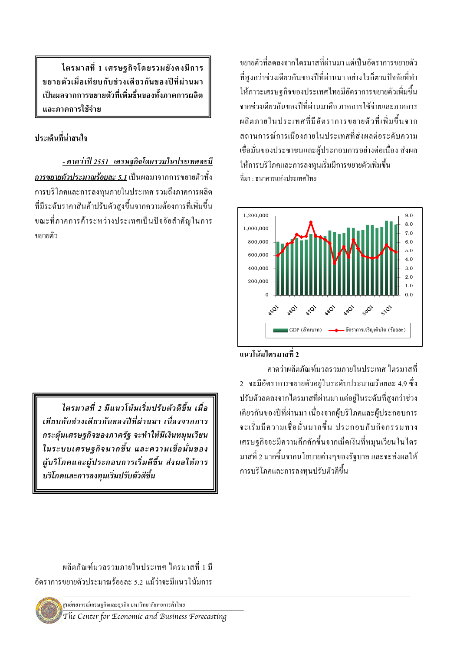ไตรมาสที่ 1 เศรษฐกิจโดยรวมยังคงมีการ ขยายตัวเมื่อเทียบกับช่วงเดียวกันของปีที่ผ่านมา ้เป็นผลจากการขยายตัวที่เพิ่มขึ้นของทั้งภาคการผลิต และภาคการใช้จ่าย

# ประเด็นที่น่าสนใจ

<u>- คาดว่าปี 2551 เศรษฐกิจโดยรวมในประเทศจะมี</u> ี การขยายตัวประมาณร้อยละ 5.1 เป็นผลมาจากการขยายตัวทั้ง ึการบริโภคและการลงทนภายในประเทศ รวมถึงภาคการผลิต ที่มีระดับราคาสินค้าปรับตัวสูงขึ้นจากความต้องการที่เพิ่มขึ้น ขณะที่ภาคการค้าระหว่างประเทศเป็นปัจจัยสำคัญในการ ขยายตัว

ไตรมาสที่ 2 มีแนวโน้มเริ่มปรับตัวดีขึ้น เมื่อ เทียบกับช่วงเดียวกันของปีที่ผ่านมา เนื่องจากการ ิกระตุ้นเศรษฐกิจของภาครัฐ จะทำให้มีเงินหมุนเวียน ในระบบเศรษฐกิจมากขึ้น และความเชื่อมั่นของ ผู้บริโภคและผู้ประกอบการเริ่มดีขึ้น ส่งผลให้การ บริโภคและการลงทุนเริ่มปรับตัวดีขึ้น

้ผลิตภัณฑ์มวลรวมภายใบประเทศ ไตรมาสที่ 1 มี ้อัตราการขยายตัวประมาณร้อยละ ร 2 แม้ว่าจะมีแบวโบ้มการ

ศนย์พยากรณ์เศรษฐกิจและธรกิจ มหาวิทยาลัยหอการค้าไทย

The Center for Economic and Business Forecasting

ำเยายตัวที่ลดลงจากไตรมาสที่ผ่านมา แต่เป็นอัตราการขยายตัว ที่สูงกว่าช่วงเดียวกันของปีที่ผ่านมา อย่างไรก็ตามปัจจัยที่ทำ ให้ภาวะเศรษจกิจของประเทศไทยมีอัตราการขยายตัวเพิ่มขึ้น ิจากช่วงเดียวกันของปีที่ผ่านมาคือ ภาคการใช้จ่ายและภาคการ ผลิตภายในประเทศที่มีคัตราการขยายตัวที่เพิ่มขึ้นจาก ิสถานการณ์การเมืองภายในประเทศที่ส่งผลต่อระดับความ เชื่อมั่นของประชาชนและผู้ประกอบการอย่างต่อเนื่อง ส่งผล ให้การบริโภคและการลงทนเริ่มมีการขยายตัวเพิ่มขึ้น ที่มา · ธบาคารแห่งประเทศไทย



# แนวโน้มไตรมาสที่ 2

คาดว่าผลิตกัญฑ์บาลราบกายใบประเทศ ไตรบาสที่ 2 จะมีอัตราการขยายตัวอยู่ในระดับประมาณร้อยละ 4.9 ซึ่ง ปรับตัวลดลงจากไตรมาสที่ผ่านมา แต่อยู่ในระดับที่สูงกว่าช่วง ้เคียวกันของปีที่ผ่านมา เนื่องจากผู้บริโภคและผู้ประกอบการ จะเริ่มมีความเชื่อมั่นมากขึ้น ประกอบกับกิจกรรมทาง เศรษฐกิจจะมีความคึกคักขึ้นจากเม็ดเงินที่หมนเวียนในไตร ี มาสที่ 2 มากขึ้นจากนโยบายต่างๆของรัฐบาล และจะส่งผลให้ ิ การบริโภคและการลงทนปรับตัวดีขึ้น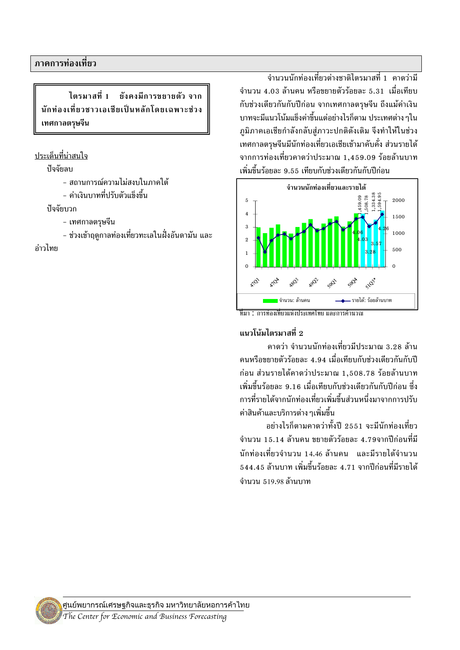ไตรมาสที่ 1 ยังคงมีการขยายตัว จาก นักท่องเที่ยวชาวเอเชียเป็นหลักโดยเฉพาะช่วง เทศกาลตรุษจีน

#### ิ ประเด็นที่น่าสนใจ

ปัจจัยลบ

- สถานการณ์ความไม่สงบในภาคใต้
- ค่าเงินบาทที่ปรับตัวแข็งขึ้น

ปลลัยบาก

- เทศกาลตรุษจีน
- ช่วงเข้าฤดูกาลท่องเที่ยวทะเลในฝั่งอันดามัน และ

ค่าวไทย

ี จำนวนนักท่องเที่ยวต่างชาติไตรมาสที่ 1 คาดว่ามี ี จำบวบ 4 03 ล้าบคบ หรือขยายตัวร้อยละ 5 31 เมื่อเทียบ ้ กับช่วงเดียวกันกับปีก่อน จากเทศกาลตรุษจีน ถึงแม้ค่าเงิน ี บาทจะมีแนวโน้มแข็งค่าขึ้นแต่อย่างไรก็ตาม ประเทศต่าง ๆใน ภูมิภาคเอเชียกำลังกลับสู่ภาวะปกติดังเดิม จึงทำให้ในช่วง ์<br>เทศกาลตรุษจีนมีนักท่องเที่ยวเอเชียเข้ามาคับคั่ง ส่วนรายได้ ี่ จากการท่องเที่ยวคาดว่าประมาณ 1.459.09 ร้อยล้านบาท "เพิ่มขึ้นร้อยละ 9.55 เทียบกับช่วงเดียวกันกับปีก่อน



ที่มา : การท่องเที่ยวแห่งประเทศไทย และการคำนวณ

# แนวโน้มไตรมาสที่ 2

ี คาดว่า จำนวนนักท่องเที่ยวมีประมาณ 3.28 ล้าน ึ คนหรือขยายตัวร้อยละ 4.94 เมื่อเทียบกับช่วงเดียวกันกับปี ีก่อน ส่วนรายได้คาดว่าประมาณ 1.508.78 ร้อยล้านบาท "เพิ่มขึ้บร้อยละ 9 16 เมื่อเทียบกับช่วงเดียวกับกับปีก่อบ ซึ่ง การที่รายได้จากนักท่องเที่ยวเพิ่มขึ้นส่วนหนึ่งมาจากการปรับ ้ค่าสินค้าและบริการต่าง ๆเพิ่มขึ้น

อย่างไรก็ตามคาดว่าทั้งปี 2551 จะมีนักท่องเที่ยว ้จำนวน 15.14 ล้านคน ขยายตัวร้อยละ 4.79จากปีก่อนที่มี ีนักท่องเที่ยวจำนวน 14.46 ล้านคน และมีรายได้จำนวน  $\overline{544.45}$  ล้านบาท เพิ่มขึ้นร้อยละ 4.71 จากปีก่อนที่มีรายได้ จำนวน 519.98 ล้านบาท